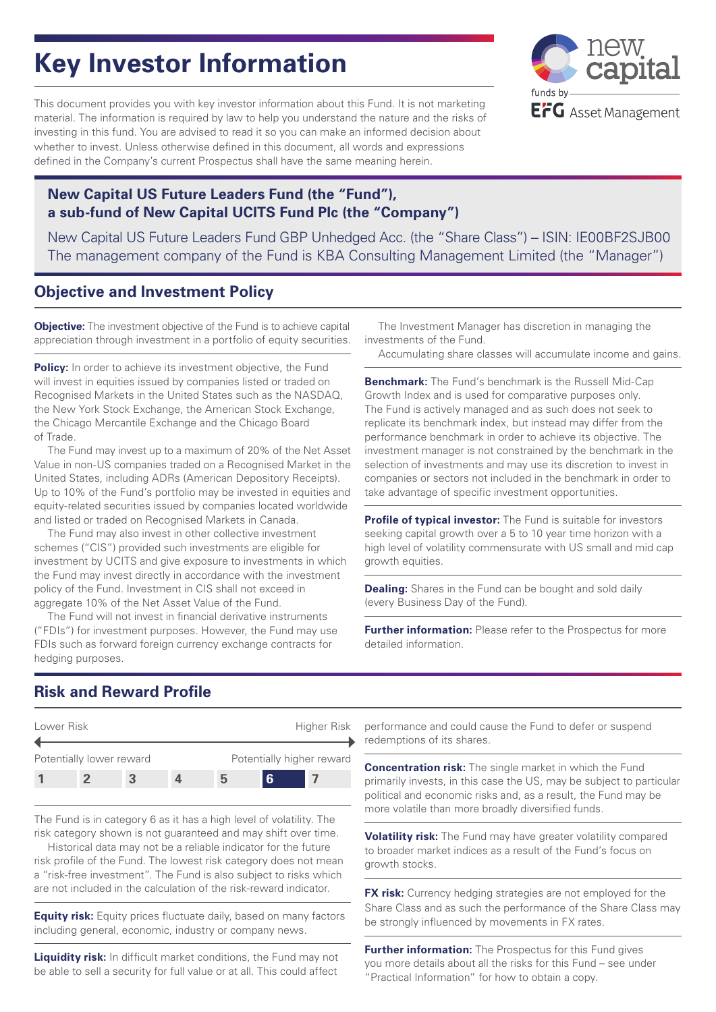# **Key Investor Information**

This document provides you with key investor information about this Fund. It is not marketing material. The information is required by law to help you understand the nature and the risks of investing in this fund. You are advised to read it so you can make an informed decision about whether to invest. Unless otherwise defined in this document, all words and expressions defined in the Company's current Prospectus shall have the same meaning herein.



## **New Capital US Future Leaders Fund (the "Fund"), a sub-fund of New Capital UCITS Fund Plc (the "Company")**

New Capital US Future Leaders Fund GBP Unhedged Acc. (the "Share Class") – ISIN: IE00BF2SJB00 The management company of the Fund is KBA Consulting Management Limited (the "Manager")

# **Objective and Investment Policy**

**Objective:** The investment objective of the Fund is to achieve capital appreciation through investment in a portfolio of equity securities.

**Policy:** In order to achieve its investment objective, the Fund will invest in equities issued by companies listed or traded on Recognised Markets in the United States such as the NASDAQ, the New York Stock Exchange, the American Stock Exchange, the Chicago Mercantile Exchange and the Chicago Board of Trade.

The Fund may invest up to a maximum of 20% of the Net Asset Value in non-US companies traded on a Recognised Market in the United States, including ADRs (American Depository Receipts). Up to 10% of the Fund's portfolio may be invested in equities and equity-related securities issued by companies located worldwide and listed or traded on Recognised Markets in Canada.

The Fund may also invest in other collective investment schemes ("CIS") provided such investments are eligible for investment by UCITS and give exposure to investments in which the Fund may invest directly in accordance with the investment policy of the Fund. Investment in CIS shall not exceed in aggregate 10% of the Net Asset Value of the Fund.

The Fund will not invest in financial derivative instruments ("FDIs") for investment purposes. However, the Fund may use FDIs such as forward foreign currency exchange contracts for hedging purposes.

The Investment Manager has discretion in managing the investments of the Fund.

Accumulating share classes will accumulate income and gains.

**Benchmark:** The Fund's benchmark is the Russell Mid-Cap Growth Index and is used for comparative purposes only. The Fund is actively managed and as such does not seek to replicate its benchmark index, but instead may differ from the performance benchmark in order to achieve its objective. The investment manager is not constrained by the benchmark in the selection of investments and may use its discretion to invest in companies or sectors not included in the benchmark in order to take advantage of specific investment opportunities.

**Profile of typical investor:** The Fund is suitable for investors seeking capital growth over a 5 to 10 year time horizon with a high level of volatility commensurate with US small and mid cap growth equities.

**Dealing:** Shares in the Fund can be bought and sold daily (every Business Day of the Fund).

**Further information:** Please refer to the Prospectus for more detailed information.

# **Risk and Reward Profile**



The Fund is in category 6 as it has a high level of volatility. The risk category shown is not guaranteed and may shift over time.

Historical data may not be a reliable indicator for the future risk profile of the Fund. The lowest risk category does not mean a "risk-free investment". The Fund is also subject to risks which are not included in the calculation of the risk-reward indicator.

**Equity risk:** Equity prices fluctuate daily, based on many factors including general, economic, industry or company news.

**Liquidity risk:** In difficult market conditions, the Fund may not be able to sell a security for full value or at all. This could affect performance and could cause the Fund to defer or suspend redemptions of its shares.

**Concentration risk:** The single market in which the Fund primarily invests, in this case the US, may be subject to particular political and economic risks and, as a result, the Fund may be more volatile than more broadly diversified funds.

**Volatility risk:** The Fund may have greater volatility compared to broader market indices as a result of the Fund's focus on growth stocks.

**FX risk:** Currency hedging strategies are not employed for the Share Class and as such the performance of the Share Class may be strongly influenced by movements in FX rates.

**Further information:** The Prospectus for this Fund gives you more details about all the risks for this Fund – see under "Practical Information" for how to obtain a copy.